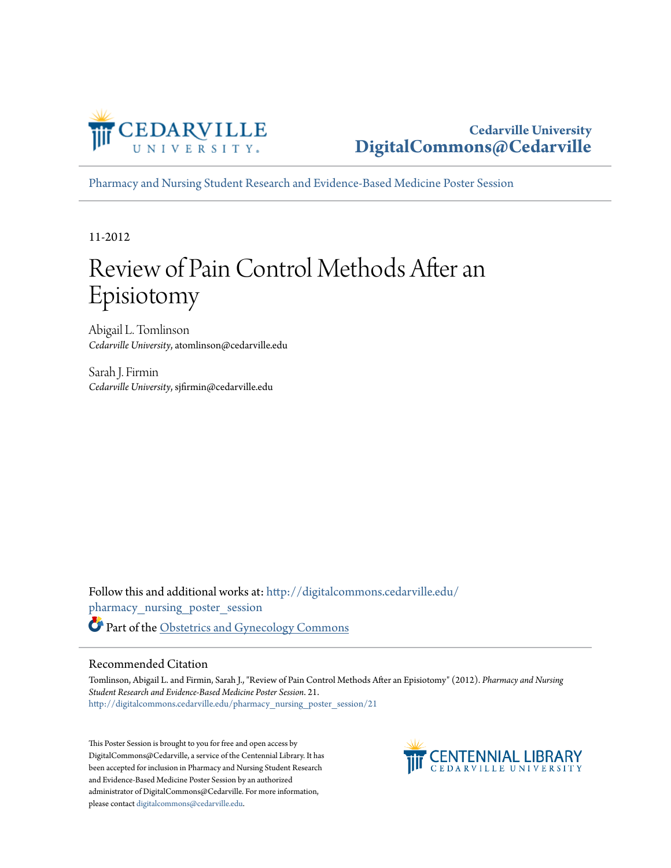

#### **Cedarville University [DigitalCommons@Cedarville](http://digitalcommons.cedarville.edu?utm_source=digitalcommons.cedarville.edu%2Fpharmacy_nursing_poster_session%2F21&utm_medium=PDF&utm_campaign=PDFCoverPages)**

[Pharmacy and Nursing Student Research and Evidence-Based Medicine Poster Session](http://digitalcommons.cedarville.edu/pharmacy_nursing_poster_session?utm_source=digitalcommons.cedarville.edu%2Fpharmacy_nursing_poster_session%2F21&utm_medium=PDF&utm_campaign=PDFCoverPages)

11-2012

#### Review of Pain Control Methods After an Episiotomy

Abigail L. Tomlinson *Cedarville University*, atomlinson@cedarville.edu

Sarah J. Firmin *Cedarville University*, sjfirmin@cedarville.edu

Follow this and additional works at: [http://digitalcommons.cedarville.edu/](http://digitalcommons.cedarville.edu/pharmacy_nursing_poster_session?utm_source=digitalcommons.cedarville.edu%2Fpharmacy_nursing_poster_session%2F21&utm_medium=PDF&utm_campaign=PDFCoverPages) [pharmacy\\_nursing\\_poster\\_session](http://digitalcommons.cedarville.edu/pharmacy_nursing_poster_session?utm_source=digitalcommons.cedarville.edu%2Fpharmacy_nursing_poster_session%2F21&utm_medium=PDF&utm_campaign=PDFCoverPages) Part of the [Obstetrics and Gynecology Commons](http://network.bepress.com/hgg/discipline/693?utm_source=digitalcommons.cedarville.edu%2Fpharmacy_nursing_poster_session%2F21&utm_medium=PDF&utm_campaign=PDFCoverPages)

#### Recommended Citation

Tomlinson, Abigail L. and Firmin, Sarah J., "Review of Pain Control Methods After an Episiotomy" (2012). *Pharmacy and Nursing Student Research and Evidence-Based Medicine Poster Session*. 21. [http://digitalcommons.cedarville.edu/pharmacy\\_nursing\\_poster\\_session/21](http://digitalcommons.cedarville.edu/pharmacy_nursing_poster_session/21?utm_source=digitalcommons.cedarville.edu%2Fpharmacy_nursing_poster_session%2F21&utm_medium=PDF&utm_campaign=PDFCoverPages)

This Poster Session is brought to you for free and open access by DigitalCommons@Cedarville, a service of the Centennial Library. It has been accepted for inclusion in Pharmacy and Nursing Student Research and Evidence-Based Medicine Poster Session by an authorized administrator of DigitalCommons@Cedarville. For more information, please contact [digitalcommons@cedarville.edu.](mailto:digitalcommons@cedarville.edu)